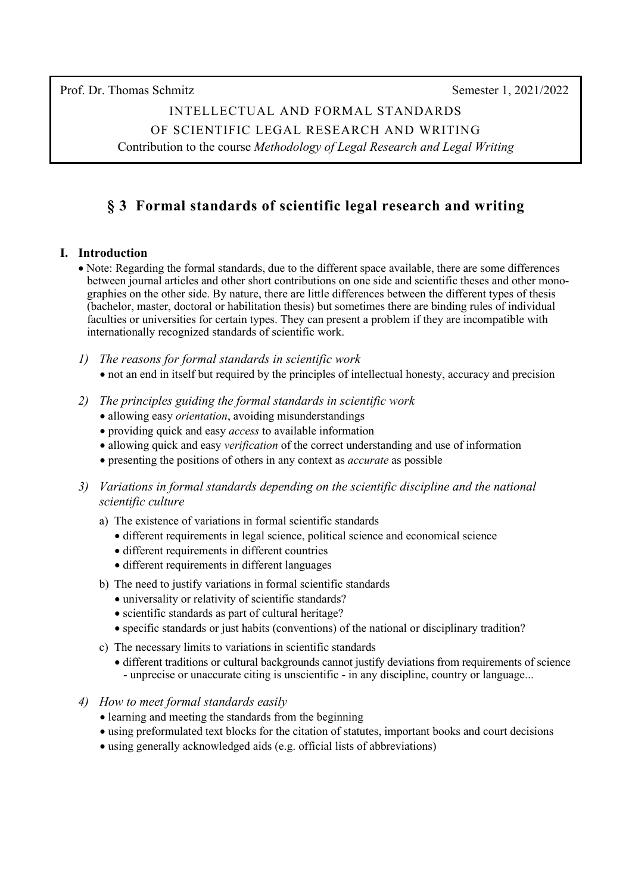Prof. Dr. Thomas Schmitz Semester 1, 2021/2022

# INTELLECTUAL AND FORMAL STANDARDS

OF SCIENTIFIC LEGAL RESEARCH AND WRITING

Contribution to the course *Methodology of Legal Research and Legal Writing*

## **§ 3 Formal standards of scientific legal research and writing**

### **I. Introduction**

- Note: Regarding the formal standards, due to the different space available, there are some differences between journal articles and other short contributions on one side and scientific theses and other mono graphies on the other side. By nature, there are little differences between the different types of thesis (bachelor, master, doctoral or habilitation thesis) but sometimes there are binding rules of individual faculties or universities for certain types. They can present a problem if they are incompatible with internationally recognized standards of scientific work.
- *1) The reasons for formal standards in scientific work* • not an end in itself but required by the principles of intellectual honesty, accuracy and precision
- *2) The principles guiding the formal standards in scientific work*
	- allowing easy *orientation*, avoiding misunderstandings
	- providing quick and easy *access* to available information
	- allowing quick and easy *verification* of the correct understanding and use of information
	- presenting the positions of others in any context as *accurate* as possible
- *3) Variations in formal standards depending on the scientific discipline and the national scientific culture*
	- a) The existence of variations in formal scientific standards
		- different requirements in legal science, political science and economical science
		- different requirements in different countries
		- different requirements in different languages
	- b) The need to justify variations in formal scientific standards
		- universality or relativity of scientific standards?
		- scientific standards as part of cultural heritage?
		- specific standards or just habits (conventions) of the national or disciplinary tradition?
	- c) The necessary limits to variations in scientific standards
		- different traditions or cultural backgrounds cannot justify deviations from requirements of science - unprecise or unaccurate citing is unscientific - in any discipline, country or language...
- *4) How to meet formal standards easily*
	- learning and meeting the standards from the beginning
	- using preformulated text blocks for the citation of statutes, important books and court decisions
	- using generally acknowledged aids (e.g. official lists of abbreviations)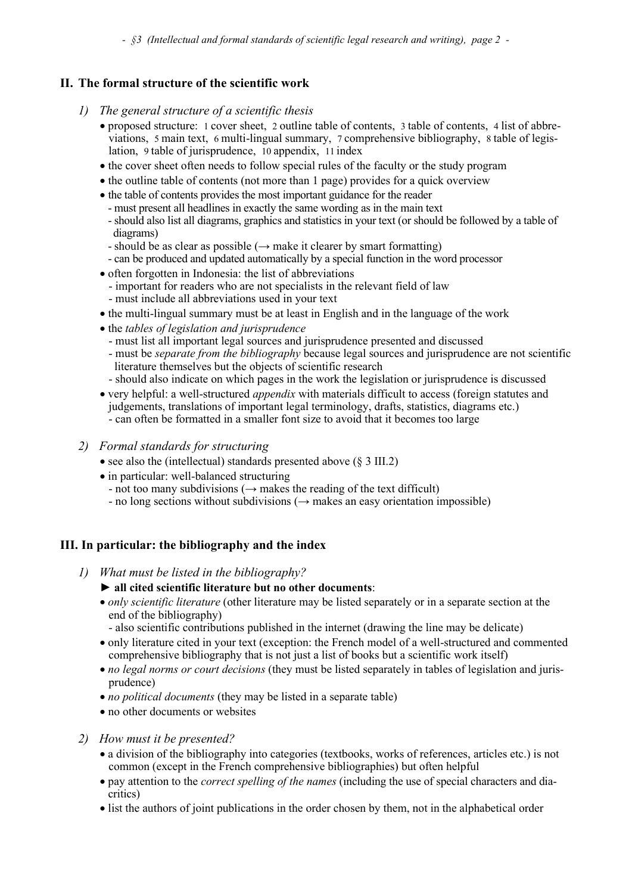*- §3 (Intellectual and formal standards of scientific legal research and writing), page 2 -*

## **II. The formal structure of the scientific work**

- *1) The general structure of a scientific thesis*
	- proposed structure: 1 cover sheet, 2 outline table of contents, 3 table of contents, 4 list of abbre viations, 5 main text, 6 multi-lingual summary, 7 comprehensive bibliography, 8 table of legis lation, 9 table of jurisprudence, 10 appendix, 11 index
	- the cover sheet often needs to follow special rules of the faculty or the study program
	- the outline table of contents (not more than 1 page) provides for a quick overview
	- the table of contents provides the most important guidance for the reader
		- must present all headlines in exactly the same wording as in the main text
		- should also list all diagrams, graphics and statistics in your text (or should be followed by a table of diagrams)
		- should be as clear as possible ( $\rightarrow$  make it clearer by smart formatting)
		- can be produced and updated automatically by a special function in the word processor
	- often forgotten in Indonesia: the list of abbreviations
	- important for readers who are not specialists in the relevant field of law - must include all abbreviations used in your text
	- the multi-lingual summary must be at least in English and in the language of the work
	- the *tables of legislation and jurisprudence*
		- must list all important legal sources and jurisprudence presented and discussed
		- must be *separate from the bibliography* because legal sources and jurisprudence are not scientific literature themselves but the objects of scientific research
		- should also indicate on which pages in the work the legislation or jurisprudence is discussed
	- very helpful: a well-structured *appendix* with materials difficult to access (foreign statutes and judgements, translations of important legal terminology, drafts, statistics, diagrams etc.) - can often be formatted in a smaller font size to avoid that it becomes too large
- *2) Formal standards for structuring*
	- see also the (intellectual) standards presented above (§ 3 III.2)
	- in particular: well-balanced structuring
		- not too many subdivisions ( $\rightarrow$  makes the reading of the text difficult)
		- no long sections without subdivisions  $(\rightarrow)$  makes an easy orientation impossible)

## **III. In particular: the bibliography and the index**

- *1) What must be listed in the bibliography?*
	- ► **all cited scientific literature but no other documents**:
	- *only scientific literature* (other literature may be listed separately or in a separate section at the end of the bibliography)
		- also scientific contributions published in the internet (drawing the line may be delicate)
	- only literature cited in your text (exception: the French model of a well-structured and commented comprehensive bibliography that is not just a list of books but a scientific work itself)
	- *no legal norms or court decisions* (they must be listed separately in tables of legislation and juris prudence)
	- *no political documents* (they may be listed in a separate table)
	- no other documents or websites
- *2) How must it be presented?*
	- a division of the bibliography into categories (textbooks, works of references, articles etc.) is not common (except in the French comprehensive bibliographies) but often helpful
	- pay attention to the *correct spelling of the names* (including the use of special characters and dia critics)
	- list the authors of joint publications in the order chosen by them, not in the alphabetical order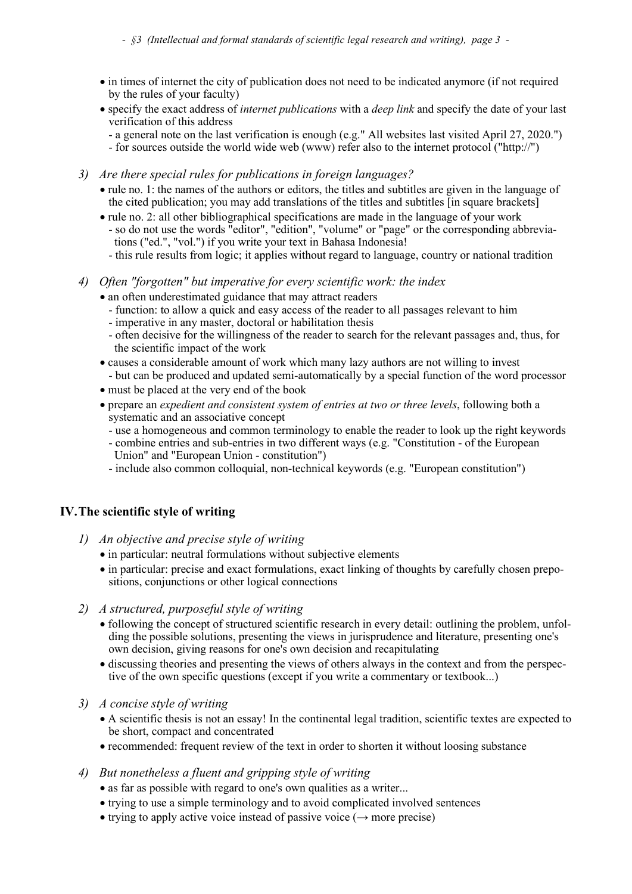- in times of internet the city of publication does not need to be indicated anymore (if not required by the rules of your faculty)
- specify the exact address of *internet publications* with a *deep link* and specify the date of your last verification of this address
- a general note on the last verification is enough (e.g." All websites last visited April 27, 2020.")
- for sources outside the world wide web (www) refer also to the internet protocol ("http://")
- *3) Are there special rules for publications in foreign languages?*
	- rule no. 1: the names of the authors or editors, the titles and subtitles are given in the language of the cited publication; you may add translations of the titles and subtitles [in square brackets]
	- rule no. 2: all other bibliographical specifications are made in the language of your work - so do not use the words "editor", "edition", "volume" or "page" or the corresponding abbrevia tions ("ed.", "vol.") if you write your text in Bahasa Indonesia!
	- this rule results from logic; it applies without regard to language, country or national tradition

#### *4) Often "forgotten" but imperative for every scientific work: the index*

- an often underestimated guidance that may attract readers
	- function: to allow a quick and easy access of the reader to all passages relevant to him
	- imperative in any master, doctoral or habilitation thesis
	- often decisive for the willingness of the reader to search for the relevant passages and, thus, for the scientific impact of the work
- causes a considerable amount of work which many lazy authors are not willing to invest
- but can be produced and updated semi-automatically by a special function of the word processor
- must be placed at the very end of the book
- prepare an *expedient and consistent system of entries at two or three levels*, following both a systematic and an associative concept
	- use a homogeneous and common terminology to enable the reader to look up the right keywords
	- combine entries and sub-entries in two different ways (e.g. "Constitution of the European Union" and "European Union - constitution")
	- include also common colloquial, non-technical keywords (e.g. "European constitution")

#### **IV.The scientific style of writing**

- *1) An objective and precise style of writing*
	- in particular: neutral formulations without subjective elements
	- in particular: precise and exact formulations, exact linking of thoughts by carefully chosen prepo sitions, conjunctions or other logical connections
- *2) A structured, purposeful style of writing*
	- following the concept of structured scientific research in every detail: outlining the problem, unfol ding the possible solutions, presenting the views in jurisprudence and literature, presenting one's own decision, giving reasons for one's own decision and recapitulating
	- discussing theories and presenting the views of others always in the context and from the perspec tive of the own specific questions (except if you write a commentary or textbook...)
- *3) A concise style of writing*
	- A scientific thesis is not an essay! In the continental legal tradition, scientific textes are expected to be short, compact and concentrated
	- recommended: frequent review of the text in order to shorten it without loosing substance

#### *4) But nonetheless a fluent and gripping style of writing*

- as far as possible with regard to one's own qualities as a writer...
- trying to use a simple terminology and to avoid complicated involved sentences
- trying to apply active voice instead of passive voice  $(\rightarrow$  more precise)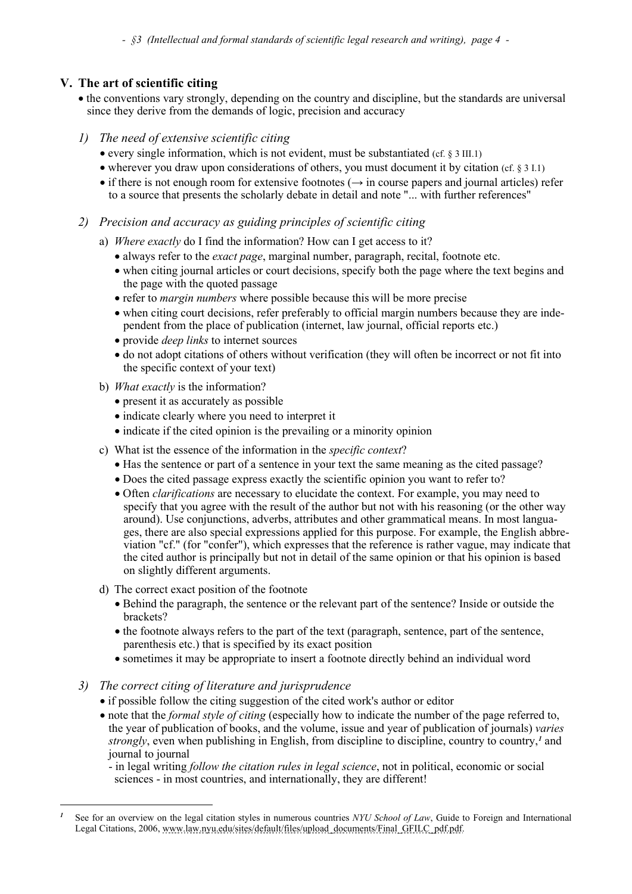*- §3 (Intellectual and formal standards of scientific legal research and writing), page 4 -*

## **V. The art of scientific citing**

- the conventions vary strongly, depending on the country and discipline, but the standards are universal since they derive from the demands of logic, precision and accuracy
- *1) The need of extensive scientific citing* 
	- every single information, which is not evident, must be substantiated (cf. § 3 III.1)
	- wherever you draw upon considerations of others, you must document it by citation (cf. § 3 I.1)
	- if there is not enough room for extensive footnotes  $(\rightarrow$  in course papers and journal articles) refer to a source that presents the scholarly debate in detail and note "... with further references"
- *2) Precision and accuracy as guiding principles of scientific citing*
	- a) *Where exactly* do I find the information? How can I get access to it?
		- always refer to the *exact page*, marginal number, paragraph, recital, footnote etc.
		- when citing journal articles or court decisions, specify both the page where the text begins and the page with the quoted passage
		- refer to *margin numbers* where possible because this will be more precise
		- when citing court decisions, refer preferably to official margin numbers because they are independent from the place of publication (internet, law journal, official reports etc.)
		- provide *deep links* to internet sources
		- do not adopt citations of others without verification (they will often be incorrect or not fit into the specific context of your text)
	- b) *What exactly* is the information?
		- present it as accurately as possible
		- indicate clearly where you need to interpret it
		- indicate if the cited opinion is the prevailing or a minority opinion
	- c) What ist the essence of the information in the *specific context*?
		- Has the sentence or part of a sentence in your text the same meaning as the cited passage?
		- Does the cited passage express exactly the scientific opinion you want to refer to?
		- Often *clarifications* are necessary to elucidate the context. For example, you may need to specify that you agree with the result of the author but not with his reasoning (or the other way around). Use conjunctions, adverbs, attributes and other grammatical means. In most langua ges, there are also special expressions applied for this purpose. For example, the English abbre viation "cf." (for "confer"), which expresses that the reference is rather vague, may indicate that the cited author is principally but not in detail of the same opinion or that his opinion is based on slightly different arguments.
	- d) The correct exact position of the footnote
		- Behind the paragraph, the sentence or the relevant part of the sentence? Inside or outside the brackets?
		- the footnote always refers to the part of the text (paragraph, sentence, part of the sentence, parenthesis etc.) that is specified by its exact position
		- sometimes it may be appropriate to insert a footnote directly behind an individual word
- *3) The correct citing of literature and jurisprudence*
	- if possible follow the citing suggestion of the cited work's author or editor
	- note that the *formal style of citing* (especially how to indicate the number of the page referred to, the year of publication of books, and the volume, issue and year of publication of journals) *varies strongly*, even when publishing in English, from discipline to discipline, country to country,*[1](#page-3-0)* and journal to journal

 - in legal writing *follow the citation rules in legal science*, not in political, economic or social sciences - in most countries, and internationally, they are different!

<span id="page-3-0"></span>See for an overview on the legal citation styles in numerous countries *NYU School of Law*, Guide to Foreign and International [Legal Citations,](https://www.law.nyu.edu/sites/default/files/upload_documents/Final_GFILC_pdf.pdf) 2006, [www.law.nyu.edu/sites/default/files/upload\\_documents/Final\\_GFILC\\_pdf.pdf.](https://www.law.nyu.edu/sites/default/files/upload_documents/Final_GFILC_pdf.pdf)